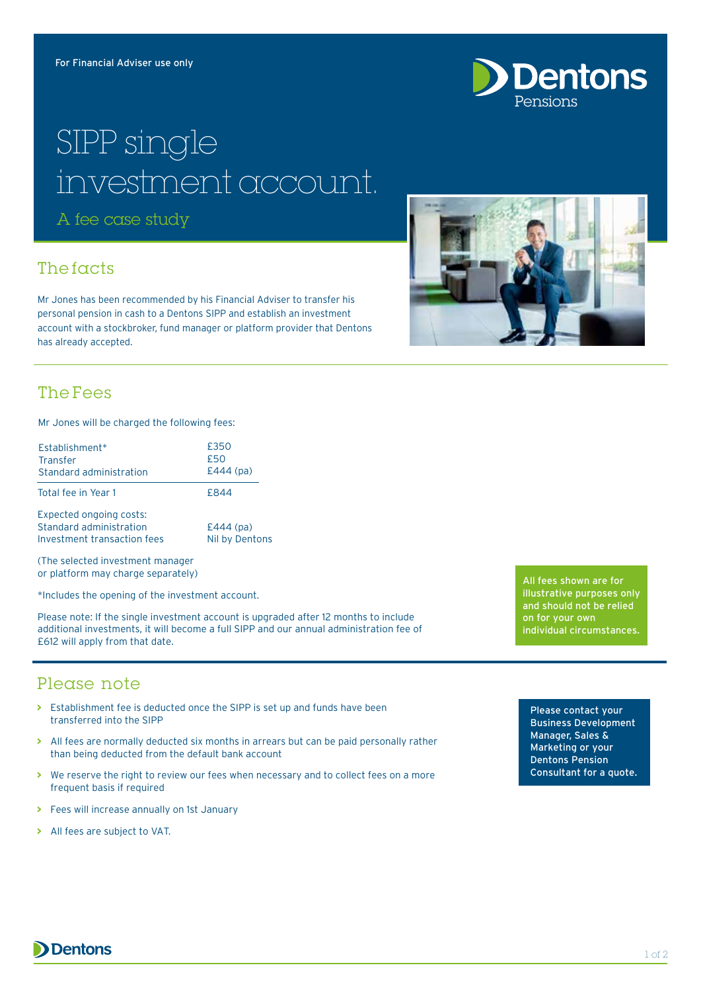

# SIPP single investment account.

A fee case study

### The facts

Mr Jones has been recommended by his Financial Adviser to transfer his personal pension in cash to a Dentons SIPP and establish an investment account with a stockbroker, fund manager or platform provider that Dentons has already accepted.



#### The Fees

Mr Jones will be charged the following fees:

| Establishment*<br><b>Transfer</b><br>Standard administration                             | £350<br>£50<br>$E444$ (pa)           |
|------------------------------------------------------------------------------------------|--------------------------------------|
| Total fee in Year 1                                                                      | £844                                 |
| <b>Expected ongoing costs:</b><br>Standard administration<br>Investment transaction fees | $E444$ (pa)<br><b>Nil by Dentons</b> |

(The selected investment manager or platform may charge separately)

\*Includes the opening of the investment account.

Please note: If the single investment account is upgraded after 12 months to include additional investments, it will become a full SIPP and our annual administration fee of £612 will apply from that date.

All fees shown are for illustrative purposes only and should not be relied on for your own individual circumstances.

#### Please note

- **>** Establishment fee is deducted once the SIPP is set up and funds have been transferred into the SIPP
- **>** All fees are normally deducted six months in arrears but can be paid personally rather than being deducted from the default bank account
- **>** We reserve the right to review our fees when necessary and to collect fees on a more frequent basis if required
- **>** Fees will increase annually on 1st January
- **>** All fees are subject to VAT.

Please contact your Business Development Manager, Sales & Marketing or your Dentons Pension Consultant for a quote.